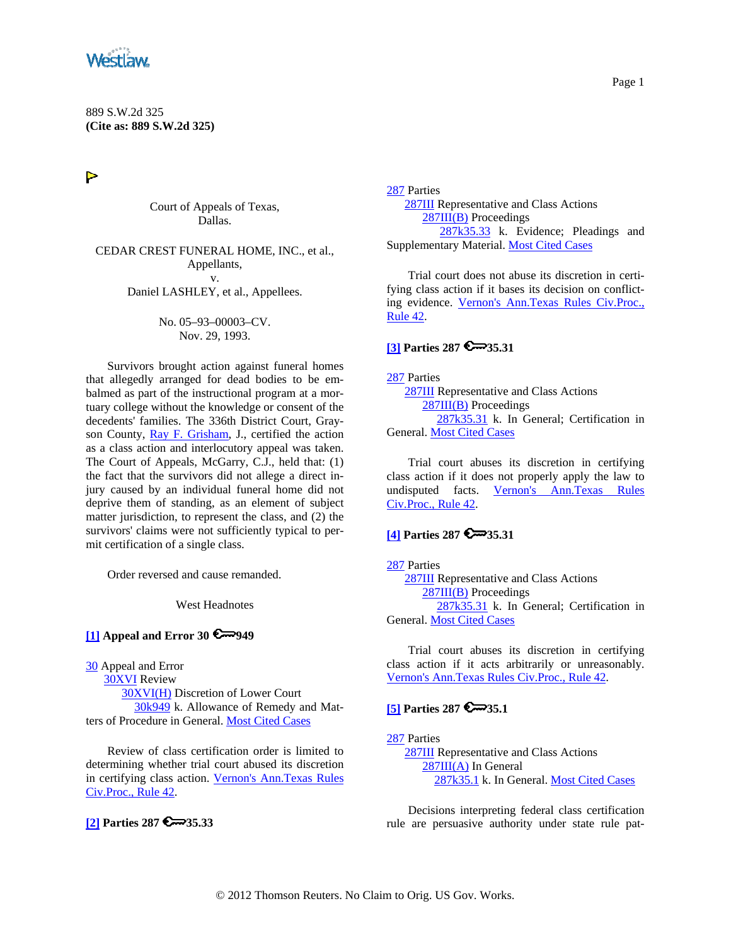<span id="page-0-0"></span>

 $\triangleright$ 

Court of Appeals of Texas, Dallas.

CEDAR CREST FUNERAL HOME, INC., et al., Appellants, v. Daniel LASHLEY, et al., Appellees.

> No. 05–93–00003–CV. Nov. 29, 1993.

Survivors brought action against funeral homes that allegedly arranged for dead bodies to be embalmed as part of the instructional program at a mortuary college without the knowledge or consent of the decedents' families. The 336th District Court, Grayson County, [Ray F. Grisham,](http://www.westlaw.com/Find/Default.wl?rs=dfa1.0&vr=2.0&DB=PROFILER-WLD&DocName=0190238201&FindType=h) J., certified the action as a class action and interlocutory appeal was taken. The Court of Appeals, McGarry, C.J., held that: (1) the fact that the survivors did not allege a direct injury caused by an individual funeral home did not deprive them of standing, as an element of subject matter jurisdiction, to represent the class, and (2) the survivors' claims were not sufficiently typical to permit certification of a single class.

Order reversed and cause remanded.

West Headnotes

#### **[\[1\]](#page-5-0) Appeal and Error 30 949**

[30](http://www.westlaw.com/KeyNumber/Default.wl?rs=dfa1.0&vr=2.0&CMD=KEY&DocName=30) Appeal and Error

 [30XVI](http://www.westlaw.com/KeyNumber/Default.wl?rs=dfa1.0&vr=2.0&CMD=KEY&DocName=30XVI) Review [30XVI\(H\)](http://www.westlaw.com/KeyNumber/Default.wl?rs=dfa1.0&vr=2.0&CMD=KEY&DocName=30XVI%28H%29) Discretion of Lower Court [30k949](http://www.westlaw.com/KeyNumber/Default.wl?rs=dfa1.0&vr=2.0&CMD=KEY&DocName=30k949) k. Allowance of Remedy and Matters of Procedure in General. [Most Cited Cases](http://www.westlaw.com/Digest/Default.wl?rs=dfa1.0&vr=2.0&CMD=MCC&DocName=30k949)

Review of class certification order is limited to determining whether trial court abused its discretion in certifying class action. [Vernon's Ann.Texas Rules](http://www.westlaw.com/Find/Default.wl?rs=dfa1.0&vr=2.0&DB=1005302&DocName=TXRRCPR42&FindType=L)  [Civ.Proc., Rule 42](http://www.westlaw.com/Find/Default.wl?rs=dfa1.0&vr=2.0&DB=1005302&DocName=TXRRCPR42&FindType=L).

### **[\[2\]](#page-5-0) Parties 287 € 35.33**

[287](http://www.westlaw.com/KeyNumber/Default.wl?rs=dfa1.0&vr=2.0&CMD=KEY&DocName=287) Parties [287III](http://www.westlaw.com/KeyNumber/Default.wl?rs=dfa1.0&vr=2.0&CMD=KEY&DocName=287III) Representative and Class Actions [287III\(B\)](http://www.westlaw.com/KeyNumber/Default.wl?rs=dfa1.0&vr=2.0&CMD=KEY&DocName=287III%28B%29) Proceedings [287k35.33](http://www.westlaw.com/KeyNumber/Default.wl?rs=dfa1.0&vr=2.0&CMD=KEY&DocName=287k35.33) k. Evidence; Pleadings and Supplementary Material. [Most Cited Cases](http://www.westlaw.com/Digest/Default.wl?rs=dfa1.0&vr=2.0&CMD=MCC&DocName=287k35.33)

Trial court does not abuse its discretion in certifying class action if it bases its decision on conflicting evidence. [Vernon's Ann.Texas Rules Civ.Proc.,](http://www.westlaw.com/Find/Default.wl?rs=dfa1.0&vr=2.0&DB=1005302&DocName=TXRRCPR42&FindType=L)  [Rule 42](http://www.westlaw.com/Find/Default.wl?rs=dfa1.0&vr=2.0&DB=1005302&DocName=TXRRCPR42&FindType=L).

### **[\[3\]](#page-5-0) Parties 287 35.31**

[287](http://www.westlaw.com/KeyNumber/Default.wl?rs=dfa1.0&vr=2.0&CMD=KEY&DocName=287) Parties

 [287III](http://www.westlaw.com/KeyNumber/Default.wl?rs=dfa1.0&vr=2.0&CMD=KEY&DocName=287III) Representative and Class Actions [287III\(B\)](http://www.westlaw.com/KeyNumber/Default.wl?rs=dfa1.0&vr=2.0&CMD=KEY&DocName=287III%28B%29) Proceedings [287k35.31](http://www.westlaw.com/KeyNumber/Default.wl?rs=dfa1.0&vr=2.0&CMD=KEY&DocName=287k35.31) k. In General; Certification in General. [Most Cited Cases](http://www.westlaw.com/Digest/Default.wl?rs=dfa1.0&vr=2.0&CMD=MCC&DocName=287k35.31)

Trial court abuses its discretion in certifying class action if it does not properly apply the law to undisputed facts. [Vernon's Ann.Texas Rules](http://www.westlaw.com/Find/Default.wl?rs=dfa1.0&vr=2.0&DB=1005302&DocName=TXRRCPR42&FindType=L)  [Civ.Proc., Rule 42](http://www.westlaw.com/Find/Default.wl?rs=dfa1.0&vr=2.0&DB=1005302&DocName=TXRRCPR42&FindType=L).

### **[\[4\]](#page-5-0) Parties 287 35.31**

[287](http://www.westlaw.com/KeyNumber/Default.wl?rs=dfa1.0&vr=2.0&CMD=KEY&DocName=287) Parties [287III](http://www.westlaw.com/KeyNumber/Default.wl?rs=dfa1.0&vr=2.0&CMD=KEY&DocName=287III) Representative and Class Actions [287III\(B\)](http://www.westlaw.com/KeyNumber/Default.wl?rs=dfa1.0&vr=2.0&CMD=KEY&DocName=287III%28B%29) Proceedings [287k35.31](http://www.westlaw.com/KeyNumber/Default.wl?rs=dfa1.0&vr=2.0&CMD=KEY&DocName=287k35.31) k. In General; Certification in General. [Most Cited Cases](http://www.westlaw.com/Digest/Default.wl?rs=dfa1.0&vr=2.0&CMD=MCC&DocName=287k35.31)

Trial court abuses its discretion in certifying class action if it acts arbitrarily or unreasonably. [Vernon's Ann.Texas Rules Civ.Proc., Rule 42.](http://www.westlaw.com/Find/Default.wl?rs=dfa1.0&vr=2.0&DB=1005302&DocName=TXRRCPR42&FindType=L)

## **[\[5\]](#page-5-0) Parties 287 6** 35.1

[287](http://www.westlaw.com/KeyNumber/Default.wl?rs=dfa1.0&vr=2.0&CMD=KEY&DocName=287) Parties

 [287III](http://www.westlaw.com/KeyNumber/Default.wl?rs=dfa1.0&vr=2.0&CMD=KEY&DocName=287III) Representative and Class Actions [287III\(A\)](http://www.westlaw.com/KeyNumber/Default.wl?rs=dfa1.0&vr=2.0&CMD=KEY&DocName=287III%28A%29) In General [287k35.1](http://www.westlaw.com/KeyNumber/Default.wl?rs=dfa1.0&vr=2.0&CMD=KEY&DocName=287k35.1) k. In General. [Most Cited Cases](http://www.westlaw.com/Digest/Default.wl?rs=dfa1.0&vr=2.0&CMD=MCC&DocName=287k35.1)

Decisions interpreting federal class certification rule are persuasive authority under state rule pat-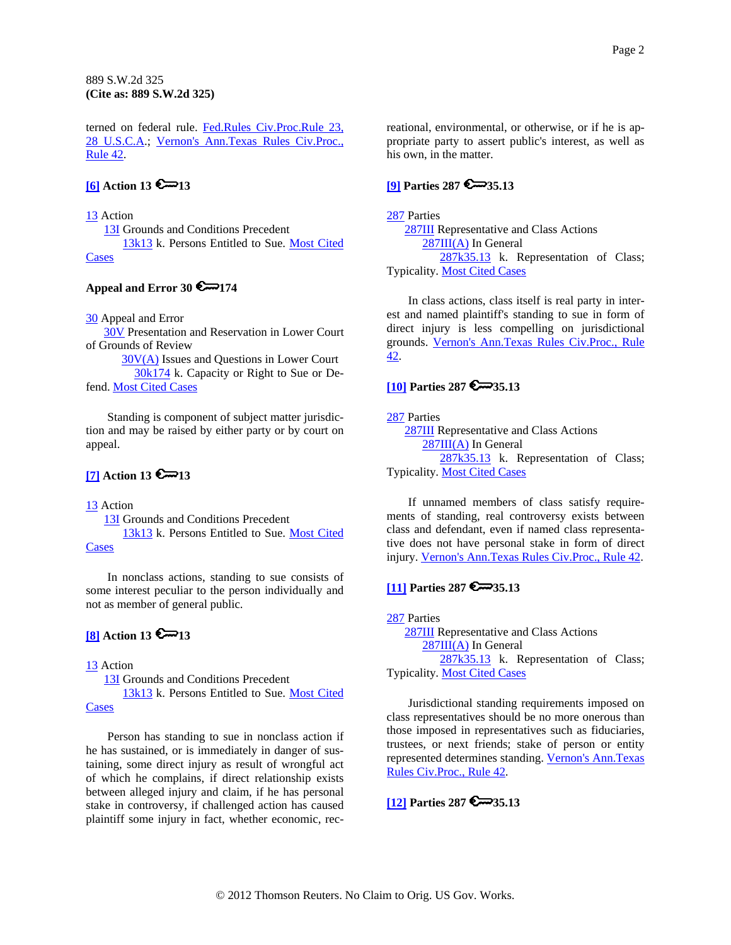<span id="page-1-0"></span>terned on federal rule. Fed.Rules Civ.Proc.Rule 23, [28 U.S.C.A](http://www.westlaw.com/Find/Default.wl?rs=dfa1.0&vr=2.0&DB=1004365&DocName=USFRCPR23&FindType=L).; [Vernon's Ann.Texas Rules Civ.Proc.,](http://www.westlaw.com/Find/Default.wl?rs=dfa1.0&vr=2.0&DB=1005302&DocName=TXRRCPR42&FindType=L)  [Rule 42](http://www.westlaw.com/Find/Default.wl?rs=dfa1.0&vr=2.0&DB=1005302&DocName=TXRRCPR42&FindType=L).

# $[6]$  **Action 13**  $\bigotimes$  13

[13](http://www.westlaw.com/KeyNumber/Default.wl?rs=dfa1.0&vr=2.0&CMD=KEY&DocName=13) Action

 [13I](http://www.westlaw.com/KeyNumber/Default.wl?rs=dfa1.0&vr=2.0&CMD=KEY&DocName=13I) Grounds and Conditions Precedent [13k13](http://www.westlaw.com/KeyNumber/Default.wl?rs=dfa1.0&vr=2.0&CMD=KEY&DocName=13k13) k. Persons Entitled to Sue. [Most Cited](http://www.westlaw.com/Digest/Default.wl?rs=dfa1.0&vr=2.0&CMD=MCC&DocName=13k13)  [Cases](http://www.westlaw.com/Digest/Default.wl?rs=dfa1.0&vr=2.0&CMD=MCC&DocName=13k13)

#### Appeal and Error 30 **6** 174

[30](http://www.westlaw.com/KeyNumber/Default.wl?rs=dfa1.0&vr=2.0&CMD=KEY&DocName=30) Appeal and Error

 [30V](http://www.westlaw.com/KeyNumber/Default.wl?rs=dfa1.0&vr=2.0&CMD=KEY&DocName=30V) Presentation and Reservation in Lower Court of Grounds of Review

 [30V\(A\)](http://www.westlaw.com/KeyNumber/Default.wl?rs=dfa1.0&vr=2.0&CMD=KEY&DocName=30V%28A%29) Issues and Questions in Lower Court [30k174](http://www.westlaw.com/KeyNumber/Default.wl?rs=dfa1.0&vr=2.0&CMD=KEY&DocName=30k174) k. Capacity or Right to Sue or Defend. [Most Cited Cases](http://www.westlaw.com/Digest/Default.wl?rs=dfa1.0&vr=2.0&CMD=MCC&DocName=30k174)

Standing is component of subject matter jurisdiction and may be raised by either party or by court on appeal.

# **[7] Action 13**  $\approx$  13

[13](http://www.westlaw.com/KeyNumber/Default.wl?rs=dfa1.0&vr=2.0&CMD=KEY&DocName=13) Action

 [13I](http://www.westlaw.com/KeyNumber/Default.wl?rs=dfa1.0&vr=2.0&CMD=KEY&DocName=13I) Grounds and Conditions Precedent [13k13](http://www.westlaw.com/KeyNumber/Default.wl?rs=dfa1.0&vr=2.0&CMD=KEY&DocName=13k13) k. Persons Entitled to Sue. [Most Cited](http://www.westlaw.com/Digest/Default.wl?rs=dfa1.0&vr=2.0&CMD=MCC&DocName=13k13)  **[Cases](http://www.westlaw.com/Digest/Default.wl?rs=dfa1.0&vr=2.0&CMD=MCC&DocName=13k13)** 

In nonclass actions, standing to sue consists of some interest peculiar to the person individually and not as member of general public.

## **[8] Action 13**  $\approx$  **13**

[13](http://www.westlaw.com/KeyNumber/Default.wl?rs=dfa1.0&vr=2.0&CMD=KEY&DocName=13) Action

 [13I](http://www.westlaw.com/KeyNumber/Default.wl?rs=dfa1.0&vr=2.0&CMD=KEY&DocName=13I) Grounds and Conditions Precedent [13k13](http://www.westlaw.com/KeyNumber/Default.wl?rs=dfa1.0&vr=2.0&CMD=KEY&DocName=13k13) k. Persons Entitled to Sue. [Most Cited](http://www.westlaw.com/Digest/Default.wl?rs=dfa1.0&vr=2.0&CMD=MCC&DocName=13k13)  **[Cases](http://www.westlaw.com/Digest/Default.wl?rs=dfa1.0&vr=2.0&CMD=MCC&DocName=13k13)** 

Person has standing to sue in nonclass action if he has sustained, or is immediately in danger of sustaining, some direct injury as result of wrongful act of which he complains, if direct relationship exists between alleged injury and claim, if he has personal stake in controversy, if challenged action has caused plaintiff some injury in fact, whether economic, recreational, environmental, or otherwise, or if he is appropriate party to assert public's interest, as well as his own, in the matter.

# **[\[9\]](#page-5-0) Parties 287 35.13**

[287](http://www.westlaw.com/KeyNumber/Default.wl?rs=dfa1.0&vr=2.0&CMD=KEY&DocName=287) Parties [287III](http://www.westlaw.com/KeyNumber/Default.wl?rs=dfa1.0&vr=2.0&CMD=KEY&DocName=287III) Representative and Class Actions [287III\(A\)](http://www.westlaw.com/KeyNumber/Default.wl?rs=dfa1.0&vr=2.0&CMD=KEY&DocName=287III%28A%29) In General [287k35.13](http://www.westlaw.com/KeyNumber/Default.wl?rs=dfa1.0&vr=2.0&CMD=KEY&DocName=287k35.13) k. Representation of Class; Typicality. [Most Cited Cases](http://www.westlaw.com/Digest/Default.wl?rs=dfa1.0&vr=2.0&CMD=MCC&DocName=287k35.13)

In class actions, class itself is real party in interest and named plaintiff's standing to sue in form of direct injury is less compelling on jurisdictional grounds. [Vernon's Ann.Texas Rules Civ.Proc., Rule](http://www.westlaw.com/Find/Default.wl?rs=dfa1.0&vr=2.0&DB=1005302&DocName=TXRRCPR42&FindType=L)  [42](http://www.westlaw.com/Find/Default.wl?rs=dfa1.0&vr=2.0&DB=1005302&DocName=TXRRCPR42&FindType=L).

# **[\[10\]](#page-5-0) Parties 287 35.13**

[287](http://www.westlaw.com/KeyNumber/Default.wl?rs=dfa1.0&vr=2.0&CMD=KEY&DocName=287) Parties

 [287III](http://www.westlaw.com/KeyNumber/Default.wl?rs=dfa1.0&vr=2.0&CMD=KEY&DocName=287III) Representative and Class Actions [287III\(A\)](http://www.westlaw.com/KeyNumber/Default.wl?rs=dfa1.0&vr=2.0&CMD=KEY&DocName=287III%28A%29) In General [287k35.13](http://www.westlaw.com/KeyNumber/Default.wl?rs=dfa1.0&vr=2.0&CMD=KEY&DocName=287k35.13) k. Representation of Class; Typicality. [Most Cited Cases](http://www.westlaw.com/Digest/Default.wl?rs=dfa1.0&vr=2.0&CMD=MCC&DocName=287k35.13)

If unnamed members of class satisfy requirements of standing, real controversy exists between class and defendant, even if named class representative does not have personal stake in form of direct injury. [Vernon's Ann.Texas Rules Civ.Proc., Rule 42.](http://www.westlaw.com/Find/Default.wl?rs=dfa1.0&vr=2.0&DB=1005302&DocName=TXRRCPR42&FindType=L)

## **[\[11\]](#page-5-0) Parties 287 35.13**

[287](http://www.westlaw.com/KeyNumber/Default.wl?rs=dfa1.0&vr=2.0&CMD=KEY&DocName=287) Parties [287III](http://www.westlaw.com/KeyNumber/Default.wl?rs=dfa1.0&vr=2.0&CMD=KEY&DocName=287III) Representative and Class Actions [287III\(A\)](http://www.westlaw.com/KeyNumber/Default.wl?rs=dfa1.0&vr=2.0&CMD=KEY&DocName=287III%28A%29) In General [287k35.13](http://www.westlaw.com/KeyNumber/Default.wl?rs=dfa1.0&vr=2.0&CMD=KEY&DocName=287k35.13) k. Representation of Class; Typicality. [Most Cited Cases](http://www.westlaw.com/Digest/Default.wl?rs=dfa1.0&vr=2.0&CMD=MCC&DocName=287k35.13)

Jurisdictional standing requirements imposed on class representatives should be no more onerous than those imposed in representatives such as fiduciaries, trustees, or next friends; stake of person or entity represented determines standing. [Vernon's Ann.Texas](http://www.westlaw.com/Find/Default.wl?rs=dfa1.0&vr=2.0&DB=1005302&DocName=TXRRCPR42&FindType=L)  [Rules Civ.Proc., Rule 42](http://www.westlaw.com/Find/Default.wl?rs=dfa1.0&vr=2.0&DB=1005302&DocName=TXRRCPR42&FindType=L).

**[\[12\]](#page-6-0) Parties 287 35.13**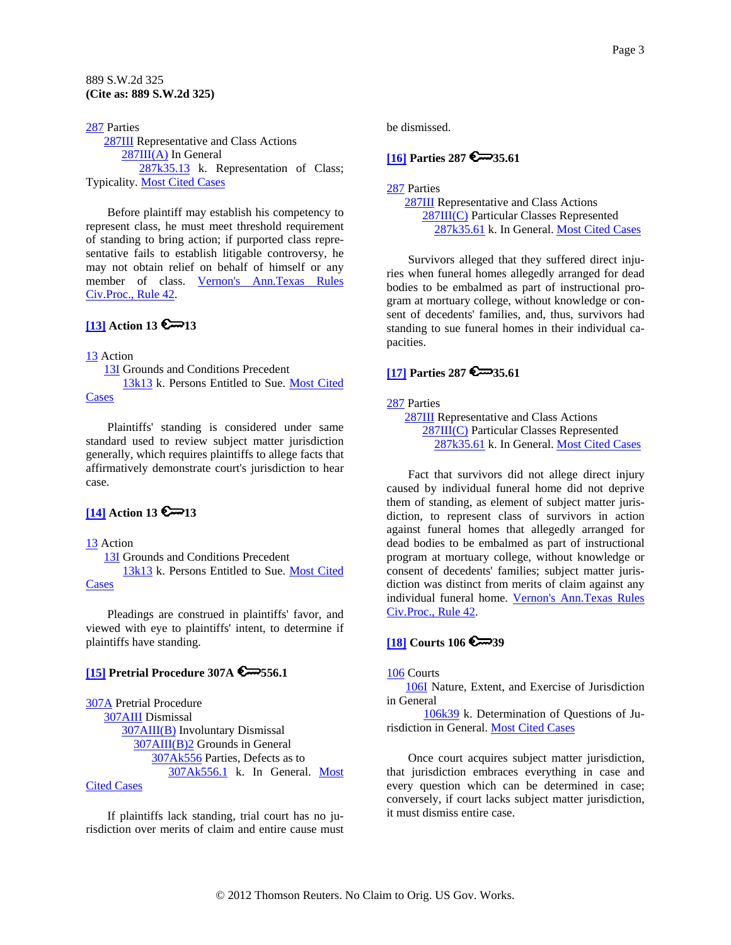<span id="page-2-0"></span>[287](http://www.westlaw.com/KeyNumber/Default.wl?rs=dfa1.0&vr=2.0&CMD=KEY&DocName=287) Parties [287III](http://www.westlaw.com/KeyNumber/Default.wl?rs=dfa1.0&vr=2.0&CMD=KEY&DocName=287III) Representative and Class Actions [287III\(A\)](http://www.westlaw.com/KeyNumber/Default.wl?rs=dfa1.0&vr=2.0&CMD=KEY&DocName=287III%28A%29) In General [287k35.13](http://www.westlaw.com/KeyNumber/Default.wl?rs=dfa1.0&vr=2.0&CMD=KEY&DocName=287k35.13) k. Representation of Class; Typicality. [Most Cited Cases](http://www.westlaw.com/Digest/Default.wl?rs=dfa1.0&vr=2.0&CMD=MCC&DocName=287k35.13)

Before plaintiff may establish his competency to represent class, he must meet threshold requirement of standing to bring action; if purported class representative fails to establish litigable controversy, he may not obtain relief on behalf of himself or any member of class. [Vernon's Ann.Texas Rules](http://www.westlaw.com/Find/Default.wl?rs=dfa1.0&vr=2.0&DB=1005302&DocName=TXRRCPR42&FindType=L)  [Civ.Proc., Rule 42](http://www.westlaw.com/Find/Default.wl?rs=dfa1.0&vr=2.0&DB=1005302&DocName=TXRRCPR42&FindType=L).

### **[\[13\]](#page-6-0) Action 13**  $\approx$  **13**

#### [13](http://www.westlaw.com/KeyNumber/Default.wl?rs=dfa1.0&vr=2.0&CMD=KEY&DocName=13) Action

 [13I](http://www.westlaw.com/KeyNumber/Default.wl?rs=dfa1.0&vr=2.0&CMD=KEY&DocName=13I) Grounds and Conditions Precedent [13k13](http://www.westlaw.com/KeyNumber/Default.wl?rs=dfa1.0&vr=2.0&CMD=KEY&DocName=13k13) k. Persons Entitled to Sue. [Most Cited](http://www.westlaw.com/Digest/Default.wl?rs=dfa1.0&vr=2.0&CMD=MCC&DocName=13k13)  [Cases](http://www.westlaw.com/Digest/Default.wl?rs=dfa1.0&vr=2.0&CMD=MCC&DocName=13k13)

Plaintiffs' standing is considered under same standard used to review subject matter jurisdiction generally, which requires plaintiffs to allege facts that affirmatively demonstrate court's jurisdiction to hear case.

# **[\[14\]](#page-6-0) Action 13 6**<sup>13</sup>

#### [13](http://www.westlaw.com/KeyNumber/Default.wl?rs=dfa1.0&vr=2.0&CMD=KEY&DocName=13) Action

 [13I](http://www.westlaw.com/KeyNumber/Default.wl?rs=dfa1.0&vr=2.0&CMD=KEY&DocName=13I) Grounds and Conditions Precedent [13k13](http://www.westlaw.com/KeyNumber/Default.wl?rs=dfa1.0&vr=2.0&CMD=KEY&DocName=13k13) k. Persons Entitled to Sue. Most Cited

**[Cases](http://www.westlaw.com/Digest/Default.wl?rs=dfa1.0&vr=2.0&CMD=MCC&DocName=13k13)** 

Pleadings are construed in plaintiffs' favor, and viewed with eye to plaintiffs' intent, to determine if plaintiffs have standing.

## **[\[15\]](#page-6-0) Pretrial Procedure 307A 556.1**

[307A](http://www.westlaw.com/KeyNumber/Default.wl?rs=dfa1.0&vr=2.0&CMD=KEY&DocName=307A) Pretrial Procedure [307AIII](http://www.westlaw.com/KeyNumber/Default.wl?rs=dfa1.0&vr=2.0&CMD=KEY&DocName=307AIII) Dismissal [307AIII\(B\)](http://www.westlaw.com/KeyNumber/Default.wl?rs=dfa1.0&vr=2.0&CMD=KEY&DocName=307AIII%28B%29) Involuntary Dismissal [307AIII\(B\)2](http://www.westlaw.com/KeyNumber/Default.wl?rs=dfa1.0&vr=2.0&CMD=KEY&DocName=307AIII%28B%292) Grounds in General [307Ak556](http://www.westlaw.com/KeyNumber/Default.wl?rs=dfa1.0&vr=2.0&CMD=KEY&DocName=307Ak556) Parties, Defects as to [307Ak556.1](http://www.westlaw.com/KeyNumber/Default.wl?rs=dfa1.0&vr=2.0&CMD=KEY&DocName=307Ak556.1) k. In General. [Most](http://www.westlaw.com/Digest/Default.wl?rs=dfa1.0&vr=2.0&CMD=MCC&DocName=307Ak556.1) 

### [Cited Cases](http://www.westlaw.com/Digest/Default.wl?rs=dfa1.0&vr=2.0&CMD=MCC&DocName=307Ak556.1)

If plaintiffs lack standing, trial court has no jurisdiction over merits of claim and entire cause must be dismissed.

### **[\[16\]](#page-6-0) Parties 287 35.61**

### [287](http://www.westlaw.com/KeyNumber/Default.wl?rs=dfa1.0&vr=2.0&CMD=KEY&DocName=287) Parties [287III](http://www.westlaw.com/KeyNumber/Default.wl?rs=dfa1.0&vr=2.0&CMD=KEY&DocName=287III) Representative and Class Actions [287III\(C\)](http://www.westlaw.com/KeyNumber/Default.wl?rs=dfa1.0&vr=2.0&CMD=KEY&DocName=287III%28C%29) Particular Classes Represented [287k35.61](http://www.westlaw.com/KeyNumber/Default.wl?rs=dfa1.0&vr=2.0&CMD=KEY&DocName=287k35.61) k. In General. [Most Cited Cases](http://www.westlaw.com/Digest/Default.wl?rs=dfa1.0&vr=2.0&CMD=MCC&DocName=287k35.61)

Survivors alleged that they suffered direct injuries when funeral homes allegedly arranged for dead bodies to be embalmed as part of instructional program at mortuary college, without knowledge or consent of decedents' families, and, thus, survivors had standing to sue funeral homes in their individual capacities.

# **[\[17\]](#page-6-0) Parties 287 35.61**

### [287](http://www.westlaw.com/KeyNumber/Default.wl?rs=dfa1.0&vr=2.0&CMD=KEY&DocName=287) Parties

 [287III](http://www.westlaw.com/KeyNumber/Default.wl?rs=dfa1.0&vr=2.0&CMD=KEY&DocName=287III) Representative and Class Actions [287III\(C\)](http://www.westlaw.com/KeyNumber/Default.wl?rs=dfa1.0&vr=2.0&CMD=KEY&DocName=287III%28C%29) Particular Classes Represented [287k35.61](http://www.westlaw.com/KeyNumber/Default.wl?rs=dfa1.0&vr=2.0&CMD=KEY&DocName=287k35.61) k. In General. [Most Cited Cases](http://www.westlaw.com/Digest/Default.wl?rs=dfa1.0&vr=2.0&CMD=MCC&DocName=287k35.61)

Fact that survivors did not allege direct injury caused by individual funeral home did not deprive them of standing, as element of subject matter jurisdiction, to represent class of survivors in action against funeral homes that allegedly arranged for dead bodies to be embalmed as part of instructional program at mortuary college, without knowledge or consent of decedents' families; subject matter jurisdiction was distinct from merits of claim against any individual funeral home. [Vernon's Ann.Texas Rules](http://www.westlaw.com/Find/Default.wl?rs=dfa1.0&vr=2.0&DB=1005302&DocName=TXRRCPR42&FindType=L)  [Civ.Proc., Rule 42](http://www.westlaw.com/Find/Default.wl?rs=dfa1.0&vr=2.0&DB=1005302&DocName=TXRRCPR42&FindType=L).

# **[\[18\]](#page-7-0) Courts 106 6 39**

#### [106](http://www.westlaw.com/KeyNumber/Default.wl?rs=dfa1.0&vr=2.0&CMD=KEY&DocName=106) Courts

 [106I](http://www.westlaw.com/KeyNumber/Default.wl?rs=dfa1.0&vr=2.0&CMD=KEY&DocName=106I) Nature, Extent, and Exercise of Jurisdiction in General

 [106k39](http://www.westlaw.com/KeyNumber/Default.wl?rs=dfa1.0&vr=2.0&CMD=KEY&DocName=106k39) k. Determination of Questions of Jurisdiction in General. [Most Cited Cases](http://www.westlaw.com/Digest/Default.wl?rs=dfa1.0&vr=2.0&CMD=MCC&DocName=106k39)

Once court acquires subject matter jurisdiction, that jurisdiction embraces everything in case and every question which can be determined in case; conversely, if court lacks subject matter jurisdiction, it must dismiss entire case.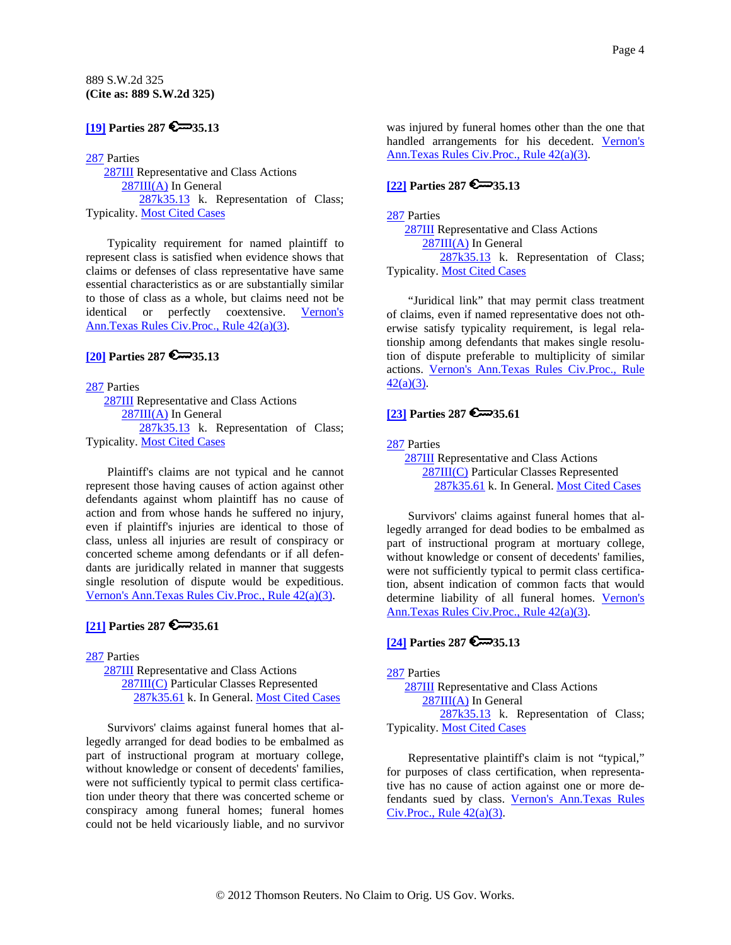## <span id="page-3-0"></span>**[\[19\]](#page-7-0) Parties 287 6**<sup>35.13</sup>

#### [287](http://www.westlaw.com/KeyNumber/Default.wl?rs=dfa1.0&vr=2.0&CMD=KEY&DocName=287) Parties

 [287III](http://www.westlaw.com/KeyNumber/Default.wl?rs=dfa1.0&vr=2.0&CMD=KEY&DocName=287III) Representative and Class Actions [287III\(A\)](http://www.westlaw.com/KeyNumber/Default.wl?rs=dfa1.0&vr=2.0&CMD=KEY&DocName=287III%28A%29) In General [287k35.13](http://www.westlaw.com/KeyNumber/Default.wl?rs=dfa1.0&vr=2.0&CMD=KEY&DocName=287k35.13) k. Representation of Class; Typicality. [Most Cited Cases](http://www.westlaw.com/Digest/Default.wl?rs=dfa1.0&vr=2.0&CMD=MCC&DocName=287k35.13)

Typicality requirement for named plaintiff to represent class is satisfied when evidence shows that claims or defenses of class representative have same essential characteristics as or are substantially similar to those of class as a whole, but claims need not be identical or perfectly coextensive. [Vernon's](http://www.westlaw.com/Find/Default.wl?rs=dfa1.0&vr=2.0&DB=1005302&DocName=TXRRCPR42&FindType=L)  [Ann.Texas Rules Civ.Proc., Rule 42\(a\)\(3\)](http://www.westlaw.com/Find/Default.wl?rs=dfa1.0&vr=2.0&DB=1005302&DocName=TXRRCPR42&FindType=L).

### **[\[20\]](#page-7-0) Parties 287 35.13**

[287](http://www.westlaw.com/KeyNumber/Default.wl?rs=dfa1.0&vr=2.0&CMD=KEY&DocName=287) Parties [287III](http://www.westlaw.com/KeyNumber/Default.wl?rs=dfa1.0&vr=2.0&CMD=KEY&DocName=287III) Representative and Class Actions [287III\(A\)](http://www.westlaw.com/KeyNumber/Default.wl?rs=dfa1.0&vr=2.0&CMD=KEY&DocName=287III%28A%29) In General [287k35.13](http://www.westlaw.com/KeyNumber/Default.wl?rs=dfa1.0&vr=2.0&CMD=KEY&DocName=287k35.13) k. Representation of Class; Typicality. [Most Cited Cases](http://www.westlaw.com/Digest/Default.wl?rs=dfa1.0&vr=2.0&CMD=MCC&DocName=287k35.13)

Plaintiff's claims are not typical and he cannot represent those having causes of action against other defendants against whom plaintiff has no cause of action and from whose hands he suffered no injury, even if plaintiff's injuries are identical to those of class, unless all injuries are result of conspiracy or concerted scheme among defendants or if all defendants are juridically related in manner that suggests single resolution of dispute would be expeditious. [Vernon's Ann.Texas Rules Civ.Proc., Rule 42\(a\)\(3\).](http://www.westlaw.com/Find/Default.wl?rs=dfa1.0&vr=2.0&DB=1005302&DocName=TXRRCPR42&FindType=L)

### **[\[21\]](#page-8-0) Parties 287 6**<sup>35.61</sup>

[287](http://www.westlaw.com/KeyNumber/Default.wl?rs=dfa1.0&vr=2.0&CMD=KEY&DocName=287) Parties [287III](http://www.westlaw.com/KeyNumber/Default.wl?rs=dfa1.0&vr=2.0&CMD=KEY&DocName=287III) Representative and Class Actions [287III\(C\)](http://www.westlaw.com/KeyNumber/Default.wl?rs=dfa1.0&vr=2.0&CMD=KEY&DocName=287III%28C%29) Particular Classes Represented [287k35.61](http://www.westlaw.com/KeyNumber/Default.wl?rs=dfa1.0&vr=2.0&CMD=KEY&DocName=287k35.61) k. In General. [Most Cited Cases](http://www.westlaw.com/Digest/Default.wl?rs=dfa1.0&vr=2.0&CMD=MCC&DocName=287k35.61)

Survivors' claims against funeral homes that allegedly arranged for dead bodies to be embalmed as part of instructional program at mortuary college, without knowledge or consent of decedents' families, were not sufficiently typical to permit class certification under theory that there was concerted scheme or conspiracy among funeral homes; funeral homes could not be held vicariously liable, and no survivor

was injured by funeral homes other than the one that handled arrangements for his decedent. [Vernon's](http://www.westlaw.com/Find/Default.wl?rs=dfa1.0&vr=2.0&DB=1005302&DocName=TXRRCPR42&FindType=L)  [Ann.Texas Rules Civ.Proc., Rule 42\(a\)\(3\)](http://www.westlaw.com/Find/Default.wl?rs=dfa1.0&vr=2.0&DB=1005302&DocName=TXRRCPR42&FindType=L).

# **[\[22\]](#page-8-0) Parties 287 35.13**

[287](http://www.westlaw.com/KeyNumber/Default.wl?rs=dfa1.0&vr=2.0&CMD=KEY&DocName=287) Parties [287III](http://www.westlaw.com/KeyNumber/Default.wl?rs=dfa1.0&vr=2.0&CMD=KEY&DocName=287III) Representative and Class Actions [287III\(A\)](http://www.westlaw.com/KeyNumber/Default.wl?rs=dfa1.0&vr=2.0&CMD=KEY&DocName=287III%28A%29) In General [287k35.13](http://www.westlaw.com/KeyNumber/Default.wl?rs=dfa1.0&vr=2.0&CMD=KEY&DocName=287k35.13) k. Representation of Class; Typicality. [Most Cited Cases](http://www.westlaw.com/Digest/Default.wl?rs=dfa1.0&vr=2.0&CMD=MCC&DocName=287k35.13)

"Juridical link" that may permit class treatment of claims, even if named representative does not otherwise satisfy typicality requirement, is legal relationship among defendants that makes single resolution of dispute preferable to multiplicity of similar actions. [Vernon's Ann.Texas Rules Civ.Proc., Rule](http://www.westlaw.com/Find/Default.wl?rs=dfa1.0&vr=2.0&DB=1005302&DocName=TXRRCPR42&FindType=L)  [42\(a\)\(3\).](http://www.westlaw.com/Find/Default.wl?rs=dfa1.0&vr=2.0&DB=1005302&DocName=TXRRCPR42&FindType=L)

## **[\[23\]](#page-8-0) Parties 287 35.61**

[287](http://www.westlaw.com/KeyNumber/Default.wl?rs=dfa1.0&vr=2.0&CMD=KEY&DocName=287) Parties

 [287III](http://www.westlaw.com/KeyNumber/Default.wl?rs=dfa1.0&vr=2.0&CMD=KEY&DocName=287III) Representative and Class Actions [287III\(C\)](http://www.westlaw.com/KeyNumber/Default.wl?rs=dfa1.0&vr=2.0&CMD=KEY&DocName=287III%28C%29) Particular Classes Represented [287k35.61](http://www.westlaw.com/KeyNumber/Default.wl?rs=dfa1.0&vr=2.0&CMD=KEY&DocName=287k35.61) k. In General. [Most Cited Cases](http://www.westlaw.com/Digest/Default.wl?rs=dfa1.0&vr=2.0&CMD=MCC&DocName=287k35.61)

Survivors' claims against funeral homes that allegedly arranged for dead bodies to be embalmed as part of instructional program at mortuary college, without knowledge or consent of decedents' families, were not sufficiently typical to permit class certification, absent indication of common facts that would determine liability of all funeral homes. [Vernon's](http://www.westlaw.com/Find/Default.wl?rs=dfa1.0&vr=2.0&DB=1005302&DocName=TXRRCPR42&FindType=L)  [Ann.Texas Rules Civ.Proc., Rule 42\(a\)\(3\)](http://www.westlaw.com/Find/Default.wl?rs=dfa1.0&vr=2.0&DB=1005302&DocName=TXRRCPR42&FindType=L).

## **[\[24\]](#page-8-0) Parties 287 35.13**

[287](http://www.westlaw.com/KeyNumber/Default.wl?rs=dfa1.0&vr=2.0&CMD=KEY&DocName=287) Parties

 [287III](http://www.westlaw.com/KeyNumber/Default.wl?rs=dfa1.0&vr=2.0&CMD=KEY&DocName=287III) Representative and Class Actions [287III\(A\)](http://www.westlaw.com/KeyNumber/Default.wl?rs=dfa1.0&vr=2.0&CMD=KEY&DocName=287III%28A%29) In General [287k35.13](http://www.westlaw.com/KeyNumber/Default.wl?rs=dfa1.0&vr=2.0&CMD=KEY&DocName=287k35.13) k. Representation of Class; Typicality. [Most Cited Cases](http://www.westlaw.com/Digest/Default.wl?rs=dfa1.0&vr=2.0&CMD=MCC&DocName=287k35.13)

Representative plaintiff's claim is not "typical," for purposes of class certification, when representative has no cause of action against one or more defendants sued by class. [Vernon's Ann.Texas Rules](http://www.westlaw.com/Find/Default.wl?rs=dfa1.0&vr=2.0&DB=1005302&DocName=TXRRCPR42&FindType=L)   $Civ.Proc., Rule 42(a)(3).$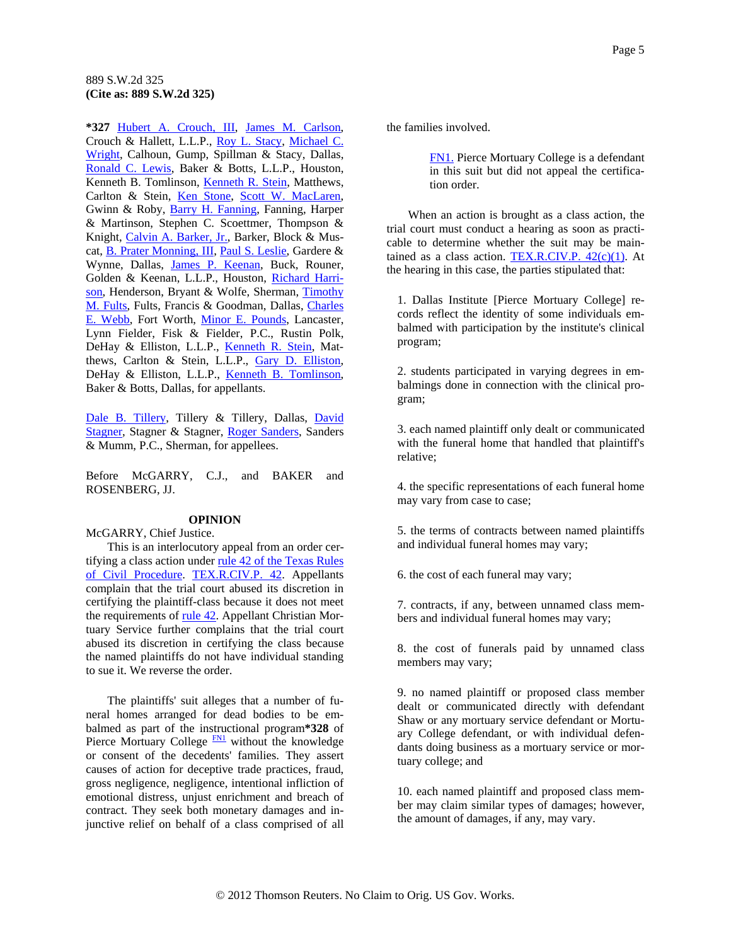<span id="page-4-0"></span>**\*327** [Hubert A. Crouch, III,](http://www.westlaw.com/Find/Default.wl?rs=dfa1.0&vr=2.0&DB=PROFILER-WLD&DocName=0141590201&FindType=h) [James M. Carlson,](http://www.westlaw.com/Find/Default.wl?rs=dfa1.0&vr=2.0&DB=PROFILER-WLD&DocName=0323181701&FindType=h) Crouch & Hallett, L.L.P., [Roy L. Stacy](http://www.westlaw.com/Find/Default.wl?rs=dfa1.0&vr=2.0&DB=PROFILER-WLD&DocName=0165581901&FindType=h), [Michael C.](http://www.westlaw.com/Find/Default.wl?rs=dfa1.0&vr=2.0&DB=PROFILER-WLD&DocName=0172780401&FindType=h)  [Wright](http://www.westlaw.com/Find/Default.wl?rs=dfa1.0&vr=2.0&DB=PROFILER-WLD&DocName=0172780401&FindType=h), Calhoun, Gump, Spillman & Stacy, Dallas, [Ronald C. Lewis,](http://www.westlaw.com/Find/Default.wl?rs=dfa1.0&vr=2.0&DB=PROFILER-WLD&DocName=0161189601&FindType=h) Baker & Botts, L.L.P., Houston, Kenneth B. Tomlinson, [Kenneth R. Stein](http://www.westlaw.com/Find/Default.wl?rs=dfa1.0&vr=2.0&DB=PROFILER-WLD&DocName=0141452301&FindType=h), Matthews, Carlton & Stein, [Ken Stone,](http://www.westlaw.com/Find/Default.wl?rs=dfa1.0&vr=2.0&DB=PROFILER-WLD&DocName=0188303201&FindType=h) [Scott W. MacLaren](http://www.westlaw.com/Find/Default.wl?rs=dfa1.0&vr=2.0&DB=PROFILER-WLD&DocName=0104960801&FindType=h), Gwinn & Roby, [Barry H. Fanning](http://www.westlaw.com/Find/Default.wl?rs=dfa1.0&vr=2.0&DB=PROFILER-WLD&DocName=0181229201&FindType=h), Fanning, Harper & Martinson, Stephen C. Scoettmer, Thompson & Knight, [Calvin A. Barker, Jr.,](http://www.westlaw.com/Find/Default.wl?rs=dfa1.0&vr=2.0&DB=PROFILER-WLD&DocName=0292341901&FindType=h) Barker, Block & Muscat, [B. Prater Monning, III](http://www.westlaw.com/Find/Default.wl?rs=dfa1.0&vr=2.0&DB=PROFILER-WLD&DocName=0141493601&FindType=h), [Paul S. Leslie](http://www.westlaw.com/Find/Default.wl?rs=dfa1.0&vr=2.0&DB=PROFILER-WLD&DocName=0115493301&FindType=h), Gardere & Wynne, Dallas, [James P. Keenan](http://www.westlaw.com/Find/Default.wl?rs=dfa1.0&vr=2.0&DB=PROFILER-WLD&DocName=0136406601&FindType=h), Buck, Rouner, Golden & Keenan, L.L.P., Houston, [Richard Harri](http://www.westlaw.com/Find/Default.wl?rs=dfa1.0&vr=2.0&DB=PROFILER-WLD&DocName=0301045501&FindType=h)[son,](http://www.westlaw.com/Find/Default.wl?rs=dfa1.0&vr=2.0&DB=PROFILER-WLD&DocName=0301045501&FindType=h) Henderson, Bryant & Wolfe, Sherman, [Timothy](http://www.westlaw.com/Find/Default.wl?rs=dfa1.0&vr=2.0&DB=PROFILER-WLD&DocName=0276333701&FindType=h)  [M. Fults,](http://www.westlaw.com/Find/Default.wl?rs=dfa1.0&vr=2.0&DB=PROFILER-WLD&DocName=0276333701&FindType=h) Fults, Francis & Goodman, Dallas, [Charles](http://www.westlaw.com/Find/Default.wl?rs=dfa1.0&vr=2.0&DB=PROFILER-WLD&DocName=0300913301&FindType=h)  [E. Webb,](http://www.westlaw.com/Find/Default.wl?rs=dfa1.0&vr=2.0&DB=PROFILER-WLD&DocName=0300913301&FindType=h) Fort Worth, [Minor E. Pounds,](http://www.westlaw.com/Find/Default.wl?rs=dfa1.0&vr=2.0&DB=PROFILER-WLD&DocName=0300711401&FindType=h) Lancaster, Lynn Fielder, Fisk & Fielder, P.C., Rustin Polk, DeHay & Elliston, L.L.P., [Kenneth R. Stein](http://www.westlaw.com/Find/Default.wl?rs=dfa1.0&vr=2.0&DB=PROFILER-WLD&DocName=0141452301&FindType=h), Matthews, Carlton & Stein, L.L.P., [Gary D. Elliston](http://www.westlaw.com/Find/Default.wl?rs=dfa1.0&vr=2.0&DB=PROFILER-WLD&DocName=0114652501&FindType=h), DeHay & Elliston, L.L.P., [Kenneth B. Tomlinson,](http://www.westlaw.com/Find/Default.wl?rs=dfa1.0&vr=2.0&DB=PROFILER-WLD&DocName=0143713201&FindType=h) Baker & Botts, Dallas, for appellants.

[Dale B. Tillery](http://www.westlaw.com/Find/Default.wl?rs=dfa1.0&vr=2.0&DB=PROFILER-WLD&DocName=0139234801&FindType=h), Tillery & Tillery, Dallas, [David](http://www.westlaw.com/Find/Default.wl?rs=dfa1.0&vr=2.0&DB=PROFILER-WLD&DocName=0119901901&FindType=h)  [Stagner,](http://www.westlaw.com/Find/Default.wl?rs=dfa1.0&vr=2.0&DB=PROFILER-WLD&DocName=0119901901&FindType=h) Stagner & Stagner, [Roger Sanders](http://www.westlaw.com/Find/Default.wl?rs=dfa1.0&vr=2.0&DB=PROFILER-WLD&DocName=0185296101&FindType=h), Sanders & Mumm, P.C., Sherman, for appellees.

Before McGARRY, C.J., and BAKER and ROSENBERG, JJ.

#### **OPINION**

McGARRY, Chief Justice.

This is an interlocutory appeal from an order certifying a class action under [rule 42 of the Texas Rules](http://www.westlaw.com/Find/Default.wl?rs=dfa1.0&vr=2.0&DB=1005302&DocName=TXRRCPR42&FindType=L)  [of Civil Procedure.](http://www.westlaw.com/Find/Default.wl?rs=dfa1.0&vr=2.0&DB=1005302&DocName=TXRRCPR42&FindType=L) [TEX.R.CIV.P. 42](http://www.westlaw.com/Find/Default.wl?rs=dfa1.0&vr=2.0&DB=1005302&DocName=TXRRCPR42&FindType=L). Appellants complain that the trial court abused its discretion in certifying the plaintiff-class because it does not meet the requirements of <u>rule 42</u>. Appellant Christian Mortuary Service further complains that the trial court abused its discretion in certifying the class because the named plaintiffs do not have individual standing to sue it. We reverse the order.

The plaintiffs' suit alleges that a number of funeral homes arranged for dead bodies to be embalmed as part of the instructional program**\*328** of Pierce Mortuary College **[FN1](#page-4-0)** without the knowledge or consent of the decedents' families. They assert causes of action for deceptive trade practices, fraud, gross negligence, negligence, intentional infliction of emotional distress, unjust enrichment and breach of contract. They seek both monetary damages and injunctive relief on behalf of a class comprised of all

the families involved.

[FN1.](#page-4-0) Pierce Mortuary College is a defendant in this suit but did not appeal the certification order.

When an action is brought as a class action, the trial court must conduct a hearing as soon as practicable to determine whether the suit may be maintained as a class action. TEX.R.CIV.P.  $42(c)(1)$ . At the hearing in this case, the parties stipulated that:

1. Dallas Institute [Pierce Mortuary College] records reflect the identity of some individuals embalmed with participation by the institute's clinical program;

2. students participated in varying degrees in embalmings done in connection with the clinical program;

3. each named plaintiff only dealt or communicated with the funeral home that handled that plaintiff's relative;

4. the specific representations of each funeral home may vary from case to case;

5. the terms of contracts between named plaintiffs and individual funeral homes may vary;

6. the cost of each funeral may vary;

7. contracts, if any, between unnamed class members and individual funeral homes may vary;

8. the cost of funerals paid by unnamed class members may vary;

9. no named plaintiff or proposed class member dealt or communicated directly with defendant Shaw or any mortuary service defendant or Mortuary College defendant, or with individual defendants doing business as a mortuary service or mortuary college; and

10. each named plaintiff and proposed class member may claim similar types of damages; however, the amount of damages, if any, may vary.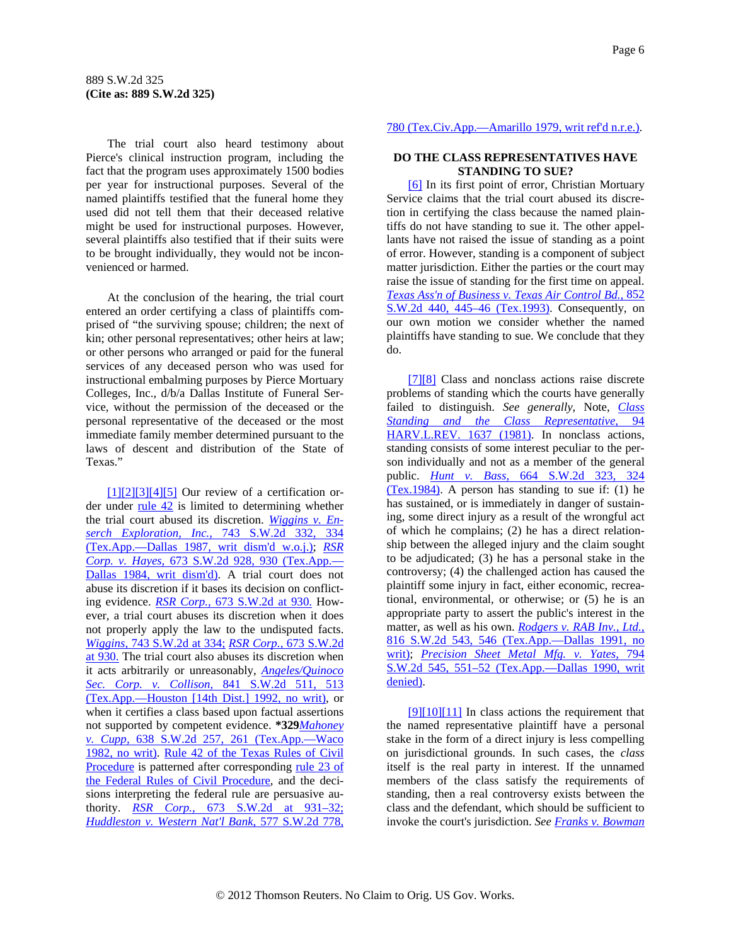<span id="page-5-0"></span>The trial court also heard testimony about Pierce's clinical instruction program, including the fact that the program uses approximately 1500 bodies per year for instructional purposes. Several of the named plaintiffs testified that the funeral home they used did not tell them that their deceased relative might be used for instructional purposes. However, several plaintiffs also testified that if their suits were to be brought individually, they would not be inconvenienced or harmed.

At the conclusion of the hearing, the trial court entered an order certifying a class of plaintiffs comprised of "the surviving spouse; children; the next of kin; other personal representatives; other heirs at law; or other persons who arranged or paid for the funeral services of any deceased person who was used for instructional embalming purposes by Pierce Mortuary Colleges, Inc., d/b/a Dallas Institute of Funeral Service, without the permission of the deceased or the personal representative of the deceased or the most immediate family member determined pursuant to the laws of descent and distribution of the State of Texas."

 $[1][2][3][4][5]$  Our review of a certification order under  $rule 42$  is limited to determining whether</u> the trial court abused its discretion. *[Wiggins v. En](http://www.westlaw.com/Find/Default.wl?rs=dfa1.0&vr=2.0&DB=713&FindType=Y&ReferencePositionType=S&SerialNum=1988014924&ReferencePosition=334)[serch Exploration, Inc.,](http://www.westlaw.com/Find/Default.wl?rs=dfa1.0&vr=2.0&DB=713&FindType=Y&ReferencePositionType=S&SerialNum=1988014924&ReferencePosition=334)* [743 S.W.2d 332, 334](http://www.westlaw.com/Find/Default.wl?rs=dfa1.0&vr=2.0&DB=713&FindType=Y&ReferencePositionType=S&SerialNum=1988014924&ReferencePosition=334)  [\(Tex.App.—Dallas 1987, writ dism'd w.o.j.\)](http://www.westlaw.com/Find/Default.wl?rs=dfa1.0&vr=2.0&DB=713&FindType=Y&ReferencePositionType=S&SerialNum=1988014924&ReferencePosition=334); *[RSR](http://www.westlaw.com/Find/Default.wl?rs=dfa1.0&vr=2.0&DB=713&FindType=Y&ReferencePositionType=S&SerialNum=1984132258&ReferencePosition=930)  [Corp. v. Hayes,](http://www.westlaw.com/Find/Default.wl?rs=dfa1.0&vr=2.0&DB=713&FindType=Y&ReferencePositionType=S&SerialNum=1984132258&ReferencePosition=930)* [673 S.W.2d 928, 930 \(Tex.App.—](http://www.westlaw.com/Find/Default.wl?rs=dfa1.0&vr=2.0&DB=713&FindType=Y&ReferencePositionType=S&SerialNum=1984132258&ReferencePosition=930) [Dallas 1984, writ dism'd\)](http://www.westlaw.com/Find/Default.wl?rs=dfa1.0&vr=2.0&DB=713&FindType=Y&ReferencePositionType=S&SerialNum=1984132258&ReferencePosition=930). A trial court does not abuse its discretion if it bases its decision on conflicting evidence. *[RSR Corp.,](http://www.westlaw.com/Find/Default.wl?rs=dfa1.0&vr=2.0&DB=713&FindType=Y&ReferencePositionType=S&SerialNum=1984132258&ReferencePosition=930)* [673 S.W.2d at 930.](http://www.westlaw.com/Find/Default.wl?rs=dfa1.0&vr=2.0&DB=713&FindType=Y&ReferencePositionType=S&SerialNum=1984132258&ReferencePosition=930) However, a trial court abuses its discretion when it does not properly apply the law to the undisputed facts. *[Wiggins,](http://www.westlaw.com/Find/Default.wl?rs=dfa1.0&vr=2.0&DB=713&FindType=Y&ReferencePositionType=S&SerialNum=1988014924&ReferencePosition=334)* [743 S.W.2d at 334;](http://www.westlaw.com/Find/Default.wl?rs=dfa1.0&vr=2.0&DB=713&FindType=Y&ReferencePositionType=S&SerialNum=1988014924&ReferencePosition=334) *[RSR Corp.,](http://www.westlaw.com/Find/Default.wl?rs=dfa1.0&vr=2.0&DB=713&FindType=Y&ReferencePositionType=S&SerialNum=1984132258&ReferencePosition=930)* [673 S.W.2d](http://www.westlaw.com/Find/Default.wl?rs=dfa1.0&vr=2.0&DB=713&FindType=Y&ReferencePositionType=S&SerialNum=1984132258&ReferencePosition=930)  [at 930.](http://www.westlaw.com/Find/Default.wl?rs=dfa1.0&vr=2.0&DB=713&FindType=Y&ReferencePositionType=S&SerialNum=1984132258&ReferencePosition=930) The trial court also abuses its discretion when it acts arbitrarily or unreasonably, *[Angeles/Quinoco](http://www.westlaw.com/Find/Default.wl?rs=dfa1.0&vr=2.0&DB=713&FindType=Y&ReferencePositionType=S&SerialNum=1992192977&ReferencePosition=513)  [Sec. Corp. v. Collison,](http://www.westlaw.com/Find/Default.wl?rs=dfa1.0&vr=2.0&DB=713&FindType=Y&ReferencePositionType=S&SerialNum=1992192977&ReferencePosition=513)* [841 S.W.2d 511, 513](http://www.westlaw.com/Find/Default.wl?rs=dfa1.0&vr=2.0&DB=713&FindType=Y&ReferencePositionType=S&SerialNum=1992192977&ReferencePosition=513)  [\(Tex.App.—Houston \[14th Dist.\] 1992, no writ\)](http://www.westlaw.com/Find/Default.wl?rs=dfa1.0&vr=2.0&DB=713&FindType=Y&ReferencePositionType=S&SerialNum=1992192977&ReferencePosition=513), or when it certifies a class based upon factual assertions not supported by competent evidence. **\*329***[Mahoney](http://www.westlaw.com/Find/Default.wl?rs=dfa1.0&vr=2.0&DB=713&FindType=Y&ReferencePositionType=S&SerialNum=1982141010&ReferencePosition=261)  [v. Cupp,](http://www.westlaw.com/Find/Default.wl?rs=dfa1.0&vr=2.0&DB=713&FindType=Y&ReferencePositionType=S&SerialNum=1982141010&ReferencePosition=261)* [638 S.W.2d 257, 261 \(Tex.App.—Waco](http://www.westlaw.com/Find/Default.wl?rs=dfa1.0&vr=2.0&DB=713&FindType=Y&ReferencePositionType=S&SerialNum=1982141010&ReferencePosition=261)  [1982, no writ\)](http://www.westlaw.com/Find/Default.wl?rs=dfa1.0&vr=2.0&DB=713&FindType=Y&ReferencePositionType=S&SerialNum=1982141010&ReferencePosition=261). [Rule 42 of the Texas Rules of Civil](http://www.westlaw.com/Find/Default.wl?rs=dfa1.0&vr=2.0&DB=1005302&DocName=TXRRCPR42&FindType=L)  [Procedure](http://www.westlaw.com/Find/Default.wl?rs=dfa1.0&vr=2.0&DB=1005302&DocName=TXRRCPR42&FindType=L) is patterned after corresponding rule 23 of [the Federal Rules of Civil Procedure,](http://www.westlaw.com/Find/Default.wl?rs=dfa1.0&vr=2.0&DB=1004365&DocName=USFRCPR23&FindType=L) and the decisions interpreting the federal rule are persuasive authority. *[RSR Corp.,](http://www.westlaw.com/Find/Default.wl?rs=dfa1.0&vr=2.0&DB=713&FindType=Y&ReferencePositionType=S&SerialNum=1984132258&ReferencePosition=931)* [673 S.W.2d at 931–32;](http://www.westlaw.com/Find/Default.wl?rs=dfa1.0&vr=2.0&DB=713&FindType=Y&ReferencePositionType=S&SerialNum=1984132258&ReferencePosition=931) *[Huddleston v. Western Nat'l Bank,](http://www.westlaw.com/Find/Default.wl?rs=dfa1.0&vr=2.0&DB=713&FindType=Y&ReferencePositionType=S&SerialNum=1979106723&ReferencePosition=780)* [577 S.W.2d 778,](http://www.westlaw.com/Find/Default.wl?rs=dfa1.0&vr=2.0&DB=713&FindType=Y&ReferencePositionType=S&SerialNum=1979106723&ReferencePosition=780) 

### [780 \(Tex.Civ.App.—Amarillo 1979, writ ref'd n.r.e.\).](http://www.westlaw.com/Find/Default.wl?rs=dfa1.0&vr=2.0&DB=713&FindType=Y&ReferencePositionType=S&SerialNum=1979106723&ReferencePosition=780)

#### **DO THE CLASS REPRESENTATIVES HAVE STANDING TO SUE?**

[\[6\]](#page-1-0) In its first point of error, Christian Mortuary Service claims that the trial court abused its discretion in certifying the class because the named plaintiffs do not have standing to sue it. The other appellants have not raised the issue of standing as a point of error. However, standing is a component of subject matter jurisdiction. Either the parties or the court may raise the issue of standing for the first time on appeal. *[Texas Ass'n of Business v. Texas Air Control Bd.,](http://www.westlaw.com/Find/Default.wl?rs=dfa1.0&vr=2.0&DB=713&FindType=Y&ReferencePositionType=S&SerialNum=1993060903&ReferencePosition=445)* [852](http://www.westlaw.com/Find/Default.wl?rs=dfa1.0&vr=2.0&DB=713&FindType=Y&ReferencePositionType=S&SerialNum=1993060903&ReferencePosition=445)  [S.W.2d 440, 445–46 \(Tex.1993\)](http://www.westlaw.com/Find/Default.wl?rs=dfa1.0&vr=2.0&DB=713&FindType=Y&ReferencePositionType=S&SerialNum=1993060903&ReferencePosition=445). Consequently, on our own motion we consider whether the named plaintiffs have standing to sue. We conclude that they do.

[\[7\]\[8\]](#page-1-0) Class and nonclass actions raise discrete problems of standing which the courts have generally failed to distinguish. *See generally,* Note, *[Class](http://www.westlaw.com/Find/Default.wl?rs=dfa1.0&vr=2.0&DB=3084&FindType=Y&SerialNum=0101416382)  [Standing and the Class Representative,](http://www.westlaw.com/Find/Default.wl?rs=dfa1.0&vr=2.0&DB=3084&FindType=Y&SerialNum=0101416382)* [94](http://www.westlaw.com/Find/Default.wl?rs=dfa1.0&vr=2.0&DB=3084&FindType=Y&SerialNum=0101416382)  [HARV.L.REV. 1637 \(1981\)](http://www.westlaw.com/Find/Default.wl?rs=dfa1.0&vr=2.0&DB=3084&FindType=Y&SerialNum=0101416382). In nonclass actions, standing consists of some interest peculiar to the person individually and not as a member of the general public. *[Hunt v. Bass,](http://www.westlaw.com/Find/Default.wl?rs=dfa1.0&vr=2.0&DB=713&FindType=Y&ReferencePositionType=S&SerialNum=1984107026&ReferencePosition=324)* [664 S.W.2d 323, 324](http://www.westlaw.com/Find/Default.wl?rs=dfa1.0&vr=2.0&DB=713&FindType=Y&ReferencePositionType=S&SerialNum=1984107026&ReferencePosition=324)  [\(Tex.1984\).](http://www.westlaw.com/Find/Default.wl?rs=dfa1.0&vr=2.0&DB=713&FindType=Y&ReferencePositionType=S&SerialNum=1984107026&ReferencePosition=324) A person has standing to sue if: (1) he has sustained, or is immediately in danger of sustaining, some direct injury as a result of the wrongful act of which he complains; (2) he has a direct relationship between the alleged injury and the claim sought to be adjudicated; (3) he has a personal stake in the controversy; (4) the challenged action has caused the plaintiff some injury in fact, either economic, recreational, environmental, or otherwise; or (5) he is an appropriate party to assert the public's interest in the matter, as well as his own. *[Rodgers v. RAB Inv., Ltd.,](http://www.westlaw.com/Find/Default.wl?rs=dfa1.0&vr=2.0&DB=713&FindType=Y&ReferencePositionType=S&SerialNum=1991157626&ReferencePosition=546)* [816 S.W.2d 543, 546 \(Tex.App.—Dallas 1991, no](http://www.westlaw.com/Find/Default.wl?rs=dfa1.0&vr=2.0&DB=713&FindType=Y&ReferencePositionType=S&SerialNum=1991157626&ReferencePosition=546)  [writ\)](http://www.westlaw.com/Find/Default.wl?rs=dfa1.0&vr=2.0&DB=713&FindType=Y&ReferencePositionType=S&SerialNum=1991157626&ReferencePosition=546); *[Precision Sheet Metal Mfg. v. Yates,](http://www.westlaw.com/Find/Default.wl?rs=dfa1.0&vr=2.0&DB=713&FindType=Y&ReferencePositionType=S&SerialNum=1990133499&ReferencePosition=551)* [794](http://www.westlaw.com/Find/Default.wl?rs=dfa1.0&vr=2.0&DB=713&FindType=Y&ReferencePositionType=S&SerialNum=1990133499&ReferencePosition=551)  [S.W.2d 545, 551–52 \(Tex.App.—Dallas 1990, writ](http://www.westlaw.com/Find/Default.wl?rs=dfa1.0&vr=2.0&DB=713&FindType=Y&ReferencePositionType=S&SerialNum=1990133499&ReferencePosition=551)  [denied\)](http://www.westlaw.com/Find/Default.wl?rs=dfa1.0&vr=2.0&DB=713&FindType=Y&ReferencePositionType=S&SerialNum=1990133499&ReferencePosition=551).

 $[9][10][11]$  In class actions the requirement that the named representative plaintiff have a personal stake in the form of a direct injury is less compelling on jurisdictional grounds. In such cases, the *class* itself is the real party in interest. If the unnamed members of the class satisfy the requirements of standing, then a real controversy exists between the class and the defendant, which should be sufficient to invoke the court's jurisdiction. *See [Franks v. Bowman](http://www.westlaw.com/Find/Default.wl?rs=dfa1.0&vr=2.0&DB=708&FindType=Y&ReferencePositionType=S&SerialNum=1976142341&ReferencePosition=1259)*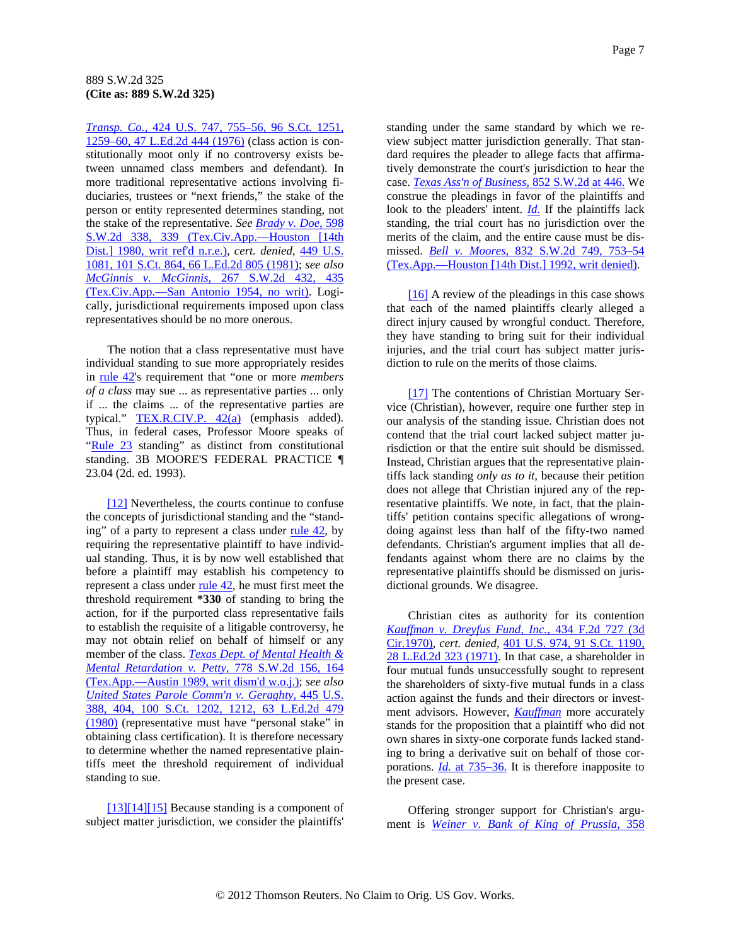<span id="page-6-0"></span>*[Transp. Co.,](http://www.westlaw.com/Find/Default.wl?rs=dfa1.0&vr=2.0&DB=708&FindType=Y&ReferencePositionType=S&SerialNum=1976142341&ReferencePosition=1259)* [424 U.S. 747, 755–56, 96 S.Ct. 1251,](http://www.westlaw.com/Find/Default.wl?rs=dfa1.0&vr=2.0&DB=708&FindType=Y&ReferencePositionType=S&SerialNum=1976142341&ReferencePosition=1259)  [1259–60, 47 L.Ed.2d 444 \(1976\)](http://www.westlaw.com/Find/Default.wl?rs=dfa1.0&vr=2.0&DB=708&FindType=Y&ReferencePositionType=S&SerialNum=1976142341&ReferencePosition=1259) (class action is constitutionally moot only if no controversy exists between unnamed class members and defendant). In more traditional representative actions involving fiduciaries, trustees or "next friends," the stake of the person or entity represented determines standing, not the stake of the representative. *See [Brady v. Doe,](http://www.westlaw.com/Find/Default.wl?rs=dfa1.0&vr=2.0&DB=713&FindType=Y&ReferencePositionType=S&SerialNum=1980115764&ReferencePosition=339)* [598](http://www.westlaw.com/Find/Default.wl?rs=dfa1.0&vr=2.0&DB=713&FindType=Y&ReferencePositionType=S&SerialNum=1980115764&ReferencePosition=339)  [S.W.2d 338, 339 \(Tex.Civ.App.—Houston \[14th](http://www.westlaw.com/Find/Default.wl?rs=dfa1.0&vr=2.0&DB=713&FindType=Y&ReferencePositionType=S&SerialNum=1980115764&ReferencePosition=339)  [Dist.\] 1980, writ ref'd n.r.e.\)](http://www.westlaw.com/Find/Default.wl?rs=dfa1.0&vr=2.0&DB=713&FindType=Y&ReferencePositionType=S&SerialNum=1980115764&ReferencePosition=339), *cert. denied,* [449 U.S.](http://www.westlaw.com/Find/Default.wl?rs=dfa1.0&vr=2.0&DB=708&FindType=Y&SerialNum=1981207049)  [1081, 101 S.Ct. 864, 66 L.Ed.2d 805 \(1981\)](http://www.westlaw.com/Find/Default.wl?rs=dfa1.0&vr=2.0&DB=708&FindType=Y&SerialNum=1981207049); *see also [McGinnis v. McGinnis,](http://www.westlaw.com/Find/Default.wl?rs=dfa1.0&vr=2.0&DB=713&FindType=Y&ReferencePositionType=S&SerialNum=1954123608&ReferencePosition=435)* [267 S.W.2d 432, 435](http://www.westlaw.com/Find/Default.wl?rs=dfa1.0&vr=2.0&DB=713&FindType=Y&ReferencePositionType=S&SerialNum=1954123608&ReferencePosition=435)  [\(Tex.Civ.App.—San Antonio 1954, no writ\).](http://www.westlaw.com/Find/Default.wl?rs=dfa1.0&vr=2.0&DB=713&FindType=Y&ReferencePositionType=S&SerialNum=1954123608&ReferencePosition=435) Logically, jurisdictional requirements imposed upon class representatives should be no more onerous.

The notion that a class representative must have individual standing to sue more appropriately resides in [rule 42](http://www.westlaw.com/Find/Default.wl?rs=dfa1.0&vr=2.0&DB=1005302&DocName=TXRRCPR42&FindType=L)'s requirement that "one or more *members of a class* may sue ... as representative parties ... only if ... the claims ... of the representative parties are typical." [TEX.R.CIV.P. 42\(a\)](http://www.westlaw.com/Find/Default.wl?rs=dfa1.0&vr=2.0&DB=1005302&DocName=TXRRCPR42&FindType=L) (emphasis added). Thus, in federal cases, Professor Moore speaks of ["Rule 23](http://www.westlaw.com/Find/Default.wl?rs=dfa1.0&vr=2.0&DB=1004365&DocName=USFRCPR23&FindType=L) standing" as distinct from constitutional standing. 3B MOORE'S FEDERAL PRACTICE ¶ 23.04 (2d. ed. 1993).

[\[12\]](#page-1-0) Nevertheless, the courts continue to confuse the concepts of jurisdictional standing and the "standing" of a party to represent a class under rule  $42$ , by requiring the representative plaintiff to have individual standing. Thus, it is by now well established that before a plaintiff may establish his competency to represent a class under [rule 42,](http://www.westlaw.com/Find/Default.wl?rs=dfa1.0&vr=2.0&DB=1005302&DocName=TXRRCPR42&FindType=L) he must first meet the threshold requirement **\*330** of standing to bring the action, for if the purported class representative fails to establish the requisite of a litigable controversy, he may not obtain relief on behalf of himself or any member of the class. *[Texas Dept. of Mental Health &](http://www.westlaw.com/Find/Default.wl?rs=dfa1.0&vr=2.0&DB=713&FindType=Y&ReferencePositionType=S&SerialNum=1989156177&ReferencePosition=164)  [Mental Retardation v. Petty,](http://www.westlaw.com/Find/Default.wl?rs=dfa1.0&vr=2.0&DB=713&FindType=Y&ReferencePositionType=S&SerialNum=1989156177&ReferencePosition=164)* [778 S.W.2d 156, 164](http://www.westlaw.com/Find/Default.wl?rs=dfa1.0&vr=2.0&DB=713&FindType=Y&ReferencePositionType=S&SerialNum=1989156177&ReferencePosition=164)  [\(Tex.App.—Austin 1989, writ dism'd w.o.j.\);](http://www.westlaw.com/Find/Default.wl?rs=dfa1.0&vr=2.0&DB=713&FindType=Y&ReferencePositionType=S&SerialNum=1989156177&ReferencePosition=164) *see also [United States Parole Comm'n v. Geraghty,](http://www.westlaw.com/Find/Default.wl?rs=dfa1.0&vr=2.0&DB=708&FindType=Y&ReferencePositionType=S&SerialNum=1980105870&ReferencePosition=1212)* [445 U.S.](http://www.westlaw.com/Find/Default.wl?rs=dfa1.0&vr=2.0&DB=708&FindType=Y&ReferencePositionType=S&SerialNum=1980105870&ReferencePosition=1212)  [388, 404, 100 S.Ct. 1202, 1212, 63 L.Ed.2d 479](http://www.westlaw.com/Find/Default.wl?rs=dfa1.0&vr=2.0&DB=708&FindType=Y&ReferencePositionType=S&SerialNum=1980105870&ReferencePosition=1212)  [\(1980\)](http://www.westlaw.com/Find/Default.wl?rs=dfa1.0&vr=2.0&DB=708&FindType=Y&ReferencePositionType=S&SerialNum=1980105870&ReferencePosition=1212) (representative must have "personal stake" in obtaining class certification). It is therefore necessary to determine whether the named representative plaintiffs meet the threshold requirement of individual standing to sue.

[\[13\]\[14\]\[15\]](#page-2-0) Because standing is a component of subject matter jurisdiction, we consider the plaintiffs' standing under the same standard by which we review subject matter jurisdiction generally. That standard requires the pleader to allege facts that affirmatively demonstrate the court's jurisdiction to hear the case. *[Texas Ass'n of Business,](http://www.westlaw.com/Find/Default.wl?rs=dfa1.0&vr=2.0&DB=713&FindType=Y&ReferencePositionType=S&SerialNum=1993060903&ReferencePosition=446)* [852 S.W.2d at 446.](http://www.westlaw.com/Find/Default.wl?rs=dfa1.0&vr=2.0&DB=713&FindType=Y&ReferencePositionType=S&SerialNum=1993060903&ReferencePosition=446) We construe the pleadings in favor of the plaintiffs and look to the pleaders' intent. *[Id.](http://www.westlaw.com/Find/Default.wl?rs=dfa1.0&vr=2.0&FindType=Y&SerialNum=1993060903)* If the plaintiffs lack standing, the trial court has no jurisdiction over the merits of the claim, and the entire cause must be dismissed. *[Bell v. Moores,](http://www.westlaw.com/Find/Default.wl?rs=dfa1.0&vr=2.0&DB=713&FindType=Y&ReferencePositionType=S&SerialNum=1992105754&ReferencePosition=753)* [832 S.W.2d 749, 753–54](http://www.westlaw.com/Find/Default.wl?rs=dfa1.0&vr=2.0&DB=713&FindType=Y&ReferencePositionType=S&SerialNum=1992105754&ReferencePosition=753)  [\(Tex.App.—Houston \[14th Dist.\] 1992, writ denied\).](http://www.westlaw.com/Find/Default.wl?rs=dfa1.0&vr=2.0&DB=713&FindType=Y&ReferencePositionType=S&SerialNum=1992105754&ReferencePosition=753)

[\[16\]](#page-2-0) A review of the pleadings in this case shows that each of the named plaintiffs clearly alleged a direct injury caused by wrongful conduct. Therefore, they have standing to bring suit for their individual injuries, and the trial court has subject matter jurisdiction to rule on the merits of those claims.

[\[17\]](#page-2-0) The contentions of Christian Mortuary Service (Christian), however, require one further step in our analysis of the standing issue. Christian does not contend that the trial court lacked subject matter jurisdiction or that the entire suit should be dismissed. Instead, Christian argues that the representative plaintiffs lack standing *only as to it,* because their petition does not allege that Christian injured any of the representative plaintiffs. We note, in fact, that the plaintiffs' petition contains specific allegations of wrongdoing against less than half of the fifty-two named defendants. Christian's argument implies that all defendants against whom there are no claims by the representative plaintiffs should be dismissed on jurisdictional grounds. We disagree.

Christian cites as authority for its contention *[Kauffman v. Dreyfus Fund, Inc.,](http://www.westlaw.com/Find/Default.wl?rs=dfa1.0&vr=2.0&DB=350&FindType=Y&SerialNum=1970121155)* [434 F.2d 727 \(3d](http://www.westlaw.com/Find/Default.wl?rs=dfa1.0&vr=2.0&DB=350&FindType=Y&SerialNum=1970121155)  [Cir.1970\),](http://www.westlaw.com/Find/Default.wl?rs=dfa1.0&vr=2.0&DB=350&FindType=Y&SerialNum=1970121155) *cert. denied,* [401 U.S. 974, 91 S.Ct. 1190,](http://www.westlaw.com/Find/Default.wl?rs=dfa1.0&vr=2.0&DB=708&FindType=Y&SerialNum=1971242025)  [28 L.Ed.2d 323 \(1971\)](http://www.westlaw.com/Find/Default.wl?rs=dfa1.0&vr=2.0&DB=708&FindType=Y&SerialNum=1971242025). In that case, a shareholder in four mutual funds unsuccessfully sought to represent the shareholders of sixty-five mutual funds in a class action against the funds and their directors or investment advisors. However, *[Kauffman](http://www.westlaw.com/Find/Default.wl?rs=dfa1.0&vr=2.0&FindType=Y&SerialNum=1970121155)* more accurately stands for the proposition that a plaintiff who did not own shares in sixty-one corporate funds lacked standing to bring a derivative suit on behalf of those corporations. *[Id.](http://www.westlaw.com/Find/Default.wl?rs=dfa1.0&vr=2.0&FindType=Y&SerialNum=1970121155)* [at 735–36.](http://www.westlaw.com/Find/Default.wl?rs=dfa1.0&vr=2.0&FindType=Y&SerialNum=1970121155) It is therefore inapposite to the present case.

Offering stronger support for Christian's argument is *[Weiner v. Bank of King of Prussia,](http://www.westlaw.com/Find/Default.wl?rs=dfa1.0&vr=2.0&DB=345&FindType=Y&SerialNum=1973105359)* [358](http://www.westlaw.com/Find/Default.wl?rs=dfa1.0&vr=2.0&DB=345&FindType=Y&SerialNum=1973105359)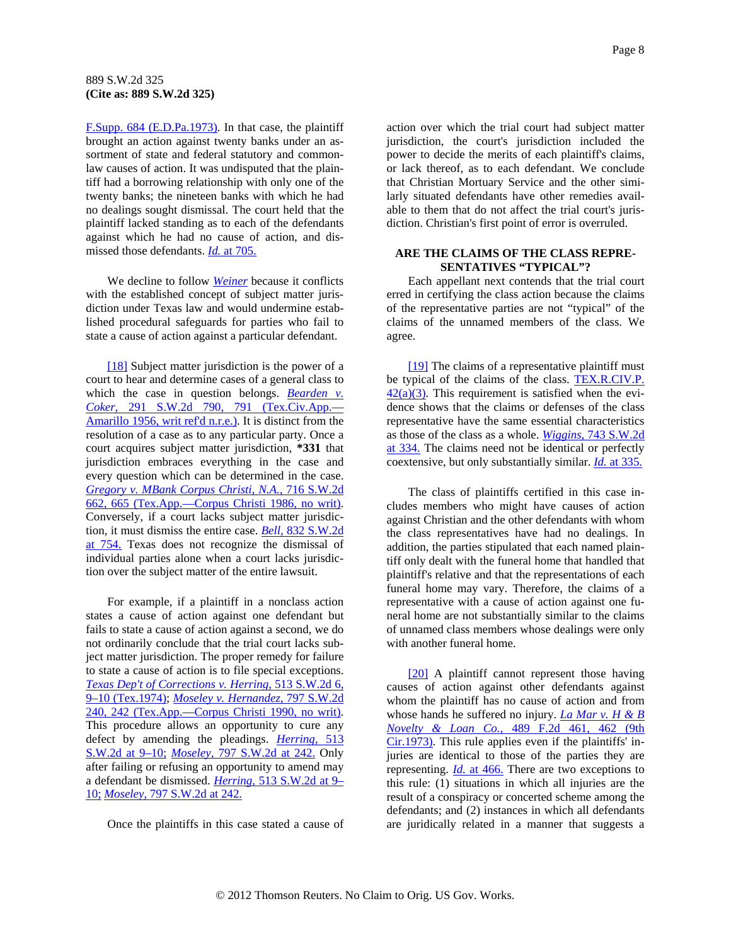<span id="page-7-0"></span>[F.Supp. 684 \(E.D.Pa.1973\)](http://www.westlaw.com/Find/Default.wl?rs=dfa1.0&vr=2.0&DB=345&FindType=Y&SerialNum=1973105359). In that case, the plaintiff brought an action against twenty banks under an assortment of state and federal statutory and commonlaw causes of action. It was undisputed that the plaintiff had a borrowing relationship with only one of the twenty banks; the nineteen banks with which he had no dealings sought dismissal. The court held that the plaintiff lacked standing as to each of the defendants against which he had no cause of action, and dismissed those defendants. *[Id.](http://www.westlaw.com/Find/Default.wl?rs=dfa1.0&vr=2.0&FindType=Y&SerialNum=1973105359)* [at 705.](http://www.westlaw.com/Find/Default.wl?rs=dfa1.0&vr=2.0&FindType=Y&SerialNum=1973105359)

We decline to follow *[Weiner](http://www.westlaw.com/Find/Default.wl?rs=dfa1.0&vr=2.0&FindType=Y&SerialNum=1973105359)* because it conflicts with the established concept of subject matter jurisdiction under Texas law and would undermine established procedural safeguards for parties who fail to state a cause of action against a particular defendant.

[\[18\]](#page-2-0) Subject matter jurisdiction is the power of a court to hear and determine cases of a general class to which the case in question belongs. *Bearden v. [Coker,](http://www.westlaw.com/Find/Default.wl?rs=dfa1.0&vr=2.0&DB=713&FindType=Y&ReferencePositionType=S&SerialNum=1956128041&ReferencePosition=791)* [291 S.W.2d 790, 791 \(Tex.Civ.App.—](http://www.westlaw.com/Find/Default.wl?rs=dfa1.0&vr=2.0&DB=713&FindType=Y&ReferencePositionType=S&SerialNum=1956128041&ReferencePosition=791) [Amarillo 1956, writ ref'd n.r.e.\).](http://www.westlaw.com/Find/Default.wl?rs=dfa1.0&vr=2.0&DB=713&FindType=Y&ReferencePositionType=S&SerialNum=1956128041&ReferencePosition=791) It is distinct from the resolution of a case as to any particular party. Once a court acquires subject matter jurisdiction, **\*331** that jurisdiction embraces everything in the case and every question which can be determined in the case. *[Gregory v. MBank Corpus Christi, N.A.,](http://www.westlaw.com/Find/Default.wl?rs=dfa1.0&vr=2.0&DB=713&FindType=Y&ReferencePositionType=S&SerialNum=1986144513&ReferencePosition=665)* [716 S.W.2d](http://www.westlaw.com/Find/Default.wl?rs=dfa1.0&vr=2.0&DB=713&FindType=Y&ReferencePositionType=S&SerialNum=1986144513&ReferencePosition=665)  [662, 665 \(Tex.App.—Corpus Christi 1986, no writ\).](http://www.westlaw.com/Find/Default.wl?rs=dfa1.0&vr=2.0&DB=713&FindType=Y&ReferencePositionType=S&SerialNum=1986144513&ReferencePosition=665) Conversely, if a court lacks subject matter jurisdiction, it must dismiss the entire case. *[Bell,](http://www.westlaw.com/Find/Default.wl?rs=dfa1.0&vr=2.0&DB=713&FindType=Y&ReferencePositionType=S&SerialNum=1992105754&ReferencePosition=754)* [832 S.W.2d](http://www.westlaw.com/Find/Default.wl?rs=dfa1.0&vr=2.0&DB=713&FindType=Y&ReferencePositionType=S&SerialNum=1992105754&ReferencePosition=754)  [at 754.](http://www.westlaw.com/Find/Default.wl?rs=dfa1.0&vr=2.0&DB=713&FindType=Y&ReferencePositionType=S&SerialNum=1992105754&ReferencePosition=754) Texas does not recognize the dismissal of individual parties alone when a court lacks jurisdiction over the subject matter of the entire lawsuit.

For example, if a plaintiff in a nonclass action states a cause of action against one defendant but fails to state a cause of action against a second, we do not ordinarily conclude that the trial court lacks subject matter jurisdiction. The proper remedy for failure to state a cause of action is to file special exceptions. *[Texas Dep't of Corrections v. Herring,](http://www.westlaw.com/Find/Default.wl?rs=dfa1.0&vr=2.0&DB=713&FindType=Y&ReferencePositionType=S&SerialNum=1974132287&ReferencePosition=9)* [513 S.W.2d 6,](http://www.westlaw.com/Find/Default.wl?rs=dfa1.0&vr=2.0&DB=713&FindType=Y&ReferencePositionType=S&SerialNum=1974132287&ReferencePosition=9)  [9–10 \(Tex.1974\);](http://www.westlaw.com/Find/Default.wl?rs=dfa1.0&vr=2.0&DB=713&FindType=Y&ReferencePositionType=S&SerialNum=1974132287&ReferencePosition=9) *[Moseley v. Hernandez,](http://www.westlaw.com/Find/Default.wl?rs=dfa1.0&vr=2.0&DB=713&FindType=Y&ReferencePositionType=S&SerialNum=1990129933&ReferencePosition=242)* [797 S.W.2d](http://www.westlaw.com/Find/Default.wl?rs=dfa1.0&vr=2.0&DB=713&FindType=Y&ReferencePositionType=S&SerialNum=1990129933&ReferencePosition=242)  [240, 242 \(Tex.App.—Corpus Christi 1990, no writ\).](http://www.westlaw.com/Find/Default.wl?rs=dfa1.0&vr=2.0&DB=713&FindType=Y&ReferencePositionType=S&SerialNum=1990129933&ReferencePosition=242) This procedure allows an opportunity to cure any defect by amending the pleadings. *[Herring,](http://www.westlaw.com/Find/Default.wl?rs=dfa1.0&vr=2.0&DB=713&FindType=Y&ReferencePositionType=S&SerialNum=1974132287&ReferencePosition=9)* [513](http://www.westlaw.com/Find/Default.wl?rs=dfa1.0&vr=2.0&DB=713&FindType=Y&ReferencePositionType=S&SerialNum=1974132287&ReferencePosition=9)  [S.W.2d at 9–10;](http://www.westlaw.com/Find/Default.wl?rs=dfa1.0&vr=2.0&DB=713&FindType=Y&ReferencePositionType=S&SerialNum=1974132287&ReferencePosition=9) *[Moseley,](http://www.westlaw.com/Find/Default.wl?rs=dfa1.0&vr=2.0&DB=713&FindType=Y&ReferencePositionType=S&SerialNum=1990129933&ReferencePosition=242)* [797 S.W.2d at 242.](http://www.westlaw.com/Find/Default.wl?rs=dfa1.0&vr=2.0&DB=713&FindType=Y&ReferencePositionType=S&SerialNum=1990129933&ReferencePosition=242) Only after failing or refusing an opportunity to amend may a defendant be dismissed. *[Herring,](http://www.westlaw.com/Find/Default.wl?rs=dfa1.0&vr=2.0&DB=713&FindType=Y&ReferencePositionType=S&SerialNum=1974132287&ReferencePosition=9)* [513 S.W.2d at 9–](http://www.westlaw.com/Find/Default.wl?rs=dfa1.0&vr=2.0&DB=713&FindType=Y&ReferencePositionType=S&SerialNum=1974132287&ReferencePosition=9) [10;](http://www.westlaw.com/Find/Default.wl?rs=dfa1.0&vr=2.0&DB=713&FindType=Y&ReferencePositionType=S&SerialNum=1974132287&ReferencePosition=9) *[Moseley,](http://www.westlaw.com/Find/Default.wl?rs=dfa1.0&vr=2.0&DB=713&FindType=Y&ReferencePositionType=S&SerialNum=1990129933&ReferencePosition=242)* [797 S.W.2d at 242.](http://www.westlaw.com/Find/Default.wl?rs=dfa1.0&vr=2.0&DB=713&FindType=Y&ReferencePositionType=S&SerialNum=1990129933&ReferencePosition=242)

Once the plaintiffs in this case stated a cause of

action over which the trial court had subject matter jurisdiction, the court's jurisdiction included the power to decide the merits of each plaintiff's claims, or lack thereof, as to each defendant. We conclude that Christian Mortuary Service and the other similarly situated defendants have other remedies available to them that do not affect the trial court's jurisdiction. Christian's first point of error is overruled.

#### **ARE THE CLAIMS OF THE CLASS REPRE-SENTATIVES "TYPICAL"?**

Each appellant next contends that the trial court erred in certifying the class action because the claims of the representative parties are not "typical" of the claims of the unnamed members of the class. We agree.

[\[19\]](#page-3-0) The claims of a representative plaintiff must be typical of the claims of the class. TEX.R.CIV.P.  $42(a)(3)$ . This requirement is satisfied when the evidence shows that the claims or defenses of the class representative have the same essential characteristics as those of the class as a whole. *[Wiggins,](http://www.westlaw.com/Find/Default.wl?rs=dfa1.0&vr=2.0&DB=713&FindType=Y&ReferencePositionType=S&SerialNum=1988014924&ReferencePosition=334)* [743 S.W.2d](http://www.westlaw.com/Find/Default.wl?rs=dfa1.0&vr=2.0&DB=713&FindType=Y&ReferencePositionType=S&SerialNum=1988014924&ReferencePosition=334)  [at 334.](http://www.westlaw.com/Find/Default.wl?rs=dfa1.0&vr=2.0&DB=713&FindType=Y&ReferencePositionType=S&SerialNum=1988014924&ReferencePosition=334) The claims need not be identical or perfectly coextensive, but only substantially similar. *[Id.](http://www.westlaw.com/Find/Default.wl?rs=dfa1.0&vr=2.0&FindType=Y&SerialNum=1988014924)* [at 335.](http://www.westlaw.com/Find/Default.wl?rs=dfa1.0&vr=2.0&FindType=Y&SerialNum=1988014924)

The class of plaintiffs certified in this case includes members who might have causes of action against Christian and the other defendants with whom the class representatives have had no dealings. In addition, the parties stipulated that each named plaintiff only dealt with the funeral home that handled that plaintiff's relative and that the representations of each funeral home may vary. Therefore, the claims of a representative with a cause of action against one funeral home are not substantially similar to the claims of unnamed class members whose dealings were only with another funeral home.

[\[20\]](#page-3-0) A plaintiff cannot represent those having causes of action against other defendants against whom the plaintiff has no cause of action and from whose hands he suffered no injury. *[La Mar v. H & B](http://www.westlaw.com/Find/Default.wl?rs=dfa1.0&vr=2.0&DB=350&FindType=Y&ReferencePositionType=S&SerialNum=1973112689&ReferencePosition=462)  [Novelty & Loan Co.,](http://www.westlaw.com/Find/Default.wl?rs=dfa1.0&vr=2.0&DB=350&FindType=Y&ReferencePositionType=S&SerialNum=1973112689&ReferencePosition=462)* [489 F.2d 461, 462 \(9th](http://www.westlaw.com/Find/Default.wl?rs=dfa1.0&vr=2.0&DB=350&FindType=Y&ReferencePositionType=S&SerialNum=1973112689&ReferencePosition=462)  [Cir.1973\).](http://www.westlaw.com/Find/Default.wl?rs=dfa1.0&vr=2.0&DB=350&FindType=Y&ReferencePositionType=S&SerialNum=1973112689&ReferencePosition=462) This rule applies even if the plaintiffs' injuries are identical to those of the parties they are representing. *[Id.](http://www.westlaw.com/Find/Default.wl?rs=dfa1.0&vr=2.0&FindType=Y&SerialNum=1973112689)* [at 466.](http://www.westlaw.com/Find/Default.wl?rs=dfa1.0&vr=2.0&FindType=Y&SerialNum=1973112689) There are two exceptions to this rule: (1) situations in which all injuries are the result of a conspiracy or concerted scheme among the defendants; and (2) instances in which all defendants are juridically related in a manner that suggests a